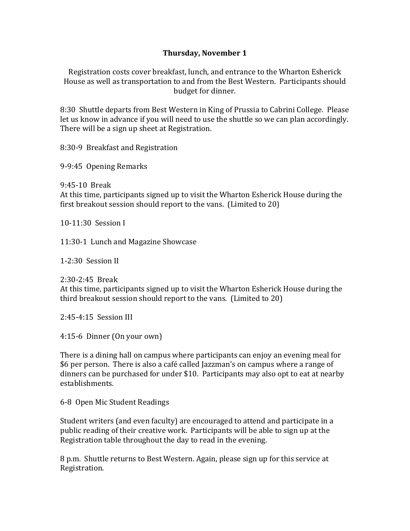## **Thursday, November 1**

Registration costs cover breakfast, lunch, and entrance to the Wharton Esherick House as well as transportation to and from the Best Western. Participants should budget for dinner.

8:30 Shuttle departs from Best Western in King of Prussia to Cabrini College. Please let us know in advance if you will need to use the shuttle so we can plan accordingly. There will be a sign up sheet at Registration.

8:30-9 Breakfast and Registration

9-9:45 Opening Remarks

9:45-10 Break At this time, participants signed up to visit the Wharton Esherick House during the first breakout session should report to the vans. (Limited to  $20$ )

 $10-11:30$  Session I

11:30-1 Lunch and Magazine Showcase

 $1-2:30$  Session II

2:30-2:45 Break At this time, participants signed up to visit the Wharton Esherick House during the third breakout session should report to the vans. (Limited to 20)

 $2:45-4:15$  Session III

4:15-6 Dinner (On your own)

There is a dining hall on campus where participants can enjoy an evening meal for \$6 per person. There is also a café called Jazzman's on campus where a range of dinners can be purchased for under \$10. Participants may also opt to eat at nearby establishments.

6-8 Open Mic Student Readings

Student writers (and even faculty) are encouraged to attend and participate in a public reading of their creative work. Participants will be able to sign up at the Registration table throughout the day to read in the evening.

8 p.m. Shuttle returns to Best Western. Again, please sign up for this service at Registration.